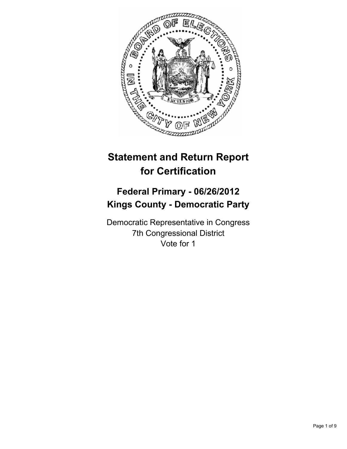

# **Statement and Return Report for Certification**

## **Federal Primary - 06/26/2012 Kings County - Democratic Party**

Democratic Representative in Congress 7th Congressional District Vote for 1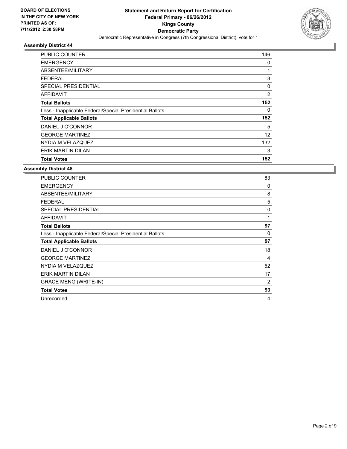

| <b>PUBLIC COUNTER</b>                                    | 146            |
|----------------------------------------------------------|----------------|
| <b>EMERGENCY</b>                                         | 0              |
| ABSENTEE/MILITARY                                        | 1              |
| FEDERAL                                                  | 3              |
| SPECIAL PRESIDENTIAL                                     | 0              |
| AFFIDAVIT                                                | $\overline{2}$ |
| <b>Total Ballots</b>                                     | 152            |
| Less - Inapplicable Federal/Special Presidential Ballots | 0              |
| <b>Total Applicable Ballots</b>                          | 152            |
| DANIEL J O'CONNOR                                        | 5              |
| <b>GEORGE MARTINEZ</b>                                   | 12             |
| NYDIA M VELAZQUEZ                                        | 132            |
| ERIK MARTIN DILAN                                        | 3              |
| <b>Total Votes</b>                                       | 152            |

| <b>PUBLIC COUNTER</b>                                    | 83       |
|----------------------------------------------------------|----------|
| <b>EMERGENCY</b>                                         | 0        |
| ABSENTEE/MILITARY                                        | 8        |
| <b>FEDERAL</b>                                           | 5        |
| <b>SPECIAL PRESIDENTIAL</b>                              | 0        |
| <b>AFFIDAVIT</b>                                         | 1        |
| <b>Total Ballots</b>                                     | 97       |
| Less - Inapplicable Federal/Special Presidential Ballots | $\Omega$ |
| <b>Total Applicable Ballots</b>                          | 97       |
| DANIEL J O'CONNOR                                        | 18       |
| <b>GEORGE MARTINEZ</b>                                   | 4        |
| NYDIA M VELAZQUEZ                                        | 52       |
| ERIK MARTIN DILAN                                        | 17       |
| <b>GRACE MENG (WRITE-IN)</b>                             | 2        |
| <b>Total Votes</b>                                       | 93       |
| Unrecorded                                               | 4        |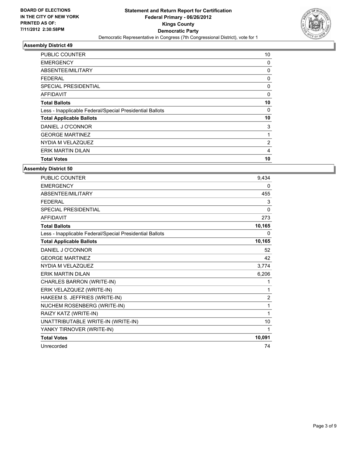

| PUBLIC COUNTER                                           | 10 |
|----------------------------------------------------------|----|
| <b>EMERGENCY</b>                                         | 0  |
| ABSENTEE/MILITARY                                        | 0  |
| <b>FEDERAL</b>                                           | 0  |
| SPECIAL PRESIDENTIAL                                     | 0  |
| <b>AFFIDAVIT</b>                                         | 0  |
| <b>Total Ballots</b>                                     | 10 |
| Less - Inapplicable Federal/Special Presidential Ballots | 0  |
| <b>Total Applicable Ballots</b>                          | 10 |
| DANIEL J O'CONNOR                                        | 3  |
| <b>GEORGE MARTINEZ</b>                                   | 1  |
| NYDIA M VELAZQUEZ                                        | 2  |
| <b>ERIK MARTIN DILAN</b>                                 | 4  |
| <b>Total Votes</b>                                       | 10 |

| <b>PUBLIC COUNTER</b>                                    | 9,434          |
|----------------------------------------------------------|----------------|
| <b>EMERGENCY</b>                                         | $\mathbf{0}$   |
| <b>ABSENTEE/MILITARY</b>                                 | 455            |
| <b>FEDERAL</b>                                           | 3              |
| <b>SPECIAL PRESIDENTIAL</b>                              | $\mathbf{0}$   |
| <b>AFFIDAVIT</b>                                         | 273            |
| <b>Total Ballots</b>                                     | 10,165         |
| Less - Inapplicable Federal/Special Presidential Ballots | 0              |
| <b>Total Applicable Ballots</b>                          | 10,165         |
| DANIEL J O'CONNOR                                        | 52             |
| <b>GEORGE MARTINEZ</b>                                   | 42             |
| NYDIA M VELAZQUEZ                                        | 3,774          |
| <b>ERIK MARTIN DILAN</b>                                 | 6,206          |
| CHARLES BARRON (WRITE-IN)                                | 1              |
| ERIK VELAZQUEZ (WRITE-IN)                                | 1              |
| HAKEEM S. JEFFRIES (WRITE-IN)                            | $\overline{2}$ |
| NUCHEM ROSENBERG (WRITE-IN)                              | 1              |
| RAIZY KATZ (WRITE-IN)                                    | $\mathbf{1}$   |
| UNATTRIBUTABLE WRITE-IN (WRITE-IN)                       | 10             |
| YANKY TIRNOVER (WRITE-IN)                                | 1              |
| <b>Total Votes</b>                                       | 10,091         |
| Unrecorded                                               | 74             |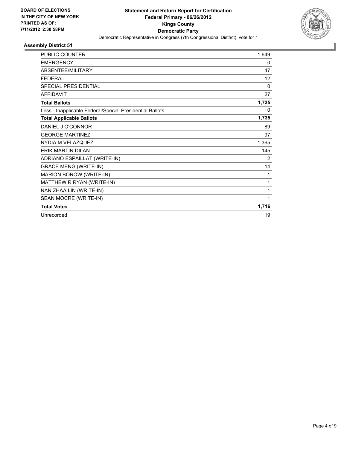

| <b>PUBLIC COUNTER</b>                                    | 1,649        |
|----------------------------------------------------------|--------------|
| <b>EMERGENCY</b>                                         | 0            |
| ABSENTEE/MILITARY                                        | 47           |
| <b>FEDERAL</b>                                           | 12           |
| <b>SPECIAL PRESIDENTIAL</b>                              | $\mathbf{0}$ |
| <b>AFFIDAVIT</b>                                         | 27           |
| <b>Total Ballots</b>                                     | 1,735        |
| Less - Inapplicable Federal/Special Presidential Ballots | 0            |
| <b>Total Applicable Ballots</b>                          | 1,735        |
| DANIEL J O'CONNOR                                        | 89           |
| <b>GEORGE MARTINEZ</b>                                   | 97           |
| NYDIA M VELAZQUEZ                                        | 1,365        |
| <b>ERIK MARTIN DILAN</b>                                 | 145          |
| ADRIANO ESPAILLAT (WRITE-IN)                             | 2            |
| <b>GRACE MENG (WRITE-IN)</b>                             | 14           |
| MARION BOROW (WRITE-IN)                                  | 1            |
| MATTHEW R RYAN (WRITE-IN)                                | 1            |
| NAN ZHAA LIN (WRITE-IN)                                  | 1            |
| SEAN MOCRE (WRITE-IN)                                    | 1            |
| <b>Total Votes</b>                                       | 1,716        |
| Unrecorded                                               | 19           |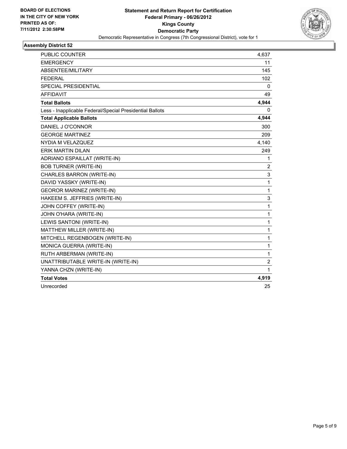

| <b>PUBLIC COUNTER</b>                                    | 4,637          |
|----------------------------------------------------------|----------------|
| <b>EMERGENCY</b>                                         | 11             |
| ABSENTEE/MILITARY                                        | 145            |
| <b>FEDERAL</b>                                           | 102            |
| <b>SPECIAL PRESIDENTIAL</b>                              | 0              |
| <b>AFFIDAVIT</b>                                         | 49             |
| <b>Total Ballots</b>                                     | 4,944          |
| Less - Inapplicable Federal/Special Presidential Ballots | 0              |
| <b>Total Applicable Ballots</b>                          | 4,944          |
| DANIEL J O'CONNOR                                        | 300            |
| <b>GEORGE MARTINEZ</b>                                   | 209            |
| NYDIA M VELAZQUEZ                                        | 4,140          |
| <b>ERIK MARTIN DILAN</b>                                 | 249            |
| ADRIANO ESPAILLAT (WRITE-IN)                             | 1              |
| <b>BOB TURNER (WRITE-IN)</b>                             | $\overline{2}$ |
| CHARLES BARRON (WRITE-IN)                                | 3              |
| DAVID YASSKY (WRITE-IN)                                  | $\mathbf{1}$   |
| <b>GEOROR MARINEZ (WRITE-IN)</b>                         | 1              |
| HAKEEM S. JEFFRIES (WRITE-IN)                            | 3              |
| JOHN COFFEY (WRITE-IN)                                   | 1              |
| JOHN O'HARA (WRITE-IN)                                   | 1              |
| LEWIS SANTONI (WRITE-IN)                                 | 1              |
| MATTHEW MILLER (WRITE-IN)                                | 1              |
| MITCHELL REGENBOGEN (WRITE-IN)                           | 1              |
| MONICA GUERRA (WRITE-IN)                                 | 1              |
| RUTH ARBERMAN (WRITE-IN)                                 | 1              |
| UNATTRIBUTABLE WRITE-IN (WRITE-IN)                       | $\overline{2}$ |
| YANNA CHZN (WRITE-IN)                                    | 1              |
| <b>Total Votes</b>                                       | 4,919          |
| Unrecorded                                               | 25             |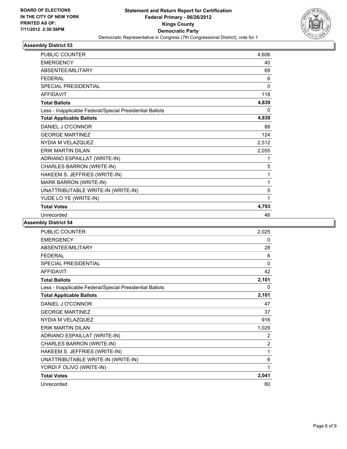

| <b>PUBLIC COUNTER</b>                                    | 4,606        |
|----------------------------------------------------------|--------------|
| <b>EMERGENCY</b>                                         | 40           |
| ABSENTEE/MILITARY                                        | 69           |
| <b>FFDFRAL</b>                                           | 6            |
| <b>SPECIAL PRESIDENTIAL</b>                              | $\mathbf{0}$ |
| <b>AFFIDAVIT</b>                                         | 118          |
| <b>Total Ballots</b>                                     | 4,839        |
| Less - Inapplicable Federal/Special Presidential Ballots | $\Omega$     |
| <b>Total Applicable Ballots</b>                          | 4,839        |
| DANIEL J O'CONNOR                                        | 88           |
| <b>GEORGE MARTINEZ</b>                                   | 124          |
| NYDIA M VELAZQUEZ                                        | 2,512        |
| <b>ERIK MARTIN DILAN</b>                                 | 2,055        |
| ADRIANO ESPAILLAT (WRITE-IN)                             | 1            |
| CHARLES BARRON (WRITE-IN)                                | 5            |
| HAKEEM S. JEFFRIES (WRITE-IN)                            | 1            |
| MARK BARRON (WRITE-IN)                                   | 1            |
| UNATTRIBUTABLE WRITE-IN (WRITE-IN)                       | 5            |
| YUDE LO YE (WRITE-IN)                                    | 1            |
| <b>Total Votes</b>                                       | 4,793        |
| Unrecorded                                               | 46           |

| <b>PUBLIC COUNTER</b>                                    | 2,025          |
|----------------------------------------------------------|----------------|
| <b>EMERGENCY</b>                                         | 0              |
| ABSENTEE/MILITARY                                        | 28             |
| <b>FEDERAL</b>                                           | 6              |
| <b>SPECIAL PRESIDENTIAL</b>                              | 0              |
| <b>AFFIDAVIT</b>                                         | 42             |
| <b>Total Ballots</b>                                     | 2,101          |
| Less - Inapplicable Federal/Special Presidential Ballots | 0              |
| <b>Total Applicable Ballots</b>                          | 2,101          |
| DANIEL J O'CONNOR                                        | 47             |
| <b>GEORGE MARTINEZ</b>                                   | 37             |
| NYDIA M VELAZQUEZ                                        | 916            |
| <b>ERIK MARTIN DILAN</b>                                 | 1,029          |
| ADRIANO ESPAILLAT (WRITE-IN)                             | 2              |
| CHARLES BARRON (WRITE-IN)                                | $\overline{2}$ |
| HAKEEM S. JEFFRIES (WRITE-IN)                            | 1              |
| UNATTRIBUTABLE WRITE-IN (WRITE-IN)                       | 6              |
| YORDI F OLIVO (WRITE-IN)                                 | 1              |
| <b>Total Votes</b>                                       | 2,041          |
| Unrecorded                                               | 60             |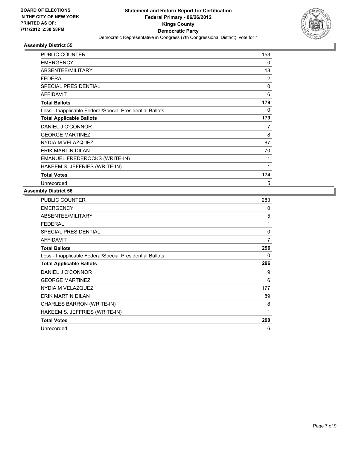

| <b>PUBLIC COUNTER</b>                                    | 153 |
|----------------------------------------------------------|-----|
| <b>EMERGENCY</b>                                         | 0   |
| ABSENTEE/MILITARY                                        | 18  |
| <b>FEDERAL</b>                                           | 2   |
| <b>SPECIAL PRESIDENTIAL</b>                              | 0   |
| <b>AFFIDAVIT</b>                                         | 6   |
| <b>Total Ballots</b>                                     | 179 |
| Less - Inapplicable Federal/Special Presidential Ballots | 0   |
| <b>Total Applicable Ballots</b>                          | 179 |
| DANIEL J O'CONNOR                                        | 7   |
| <b>GEORGE MARTINEZ</b>                                   | 8   |
| NYDIA M VELAZQUEZ                                        | 87  |
| ERIK MARTIN DILAN                                        | 70  |
| EMANUEL FREDEROCKS (WRITE-IN)                            | 1   |
| HAKEEM S. JEFFRIES (WRITE-IN)                            | 1   |
| <b>Total Votes</b>                                       | 174 |
| Unrecorded                                               | 5   |

| <b>PUBLIC COUNTER</b>                                    | 283 |
|----------------------------------------------------------|-----|
| <b>EMERGENCY</b>                                         | 0   |
| <b>ABSENTEE/MILITARY</b>                                 | 5   |
| <b>FEDERAL</b>                                           | 1   |
| <b>SPECIAL PRESIDENTIAL</b>                              | 0   |
| AFFIDAVIT                                                | 7   |
| <b>Total Ballots</b>                                     | 296 |
| Less - Inapplicable Federal/Special Presidential Ballots | 0   |
| <b>Total Applicable Ballots</b>                          | 296 |
| DANIEL J O'CONNOR                                        | 9   |
| <b>GEORGE MARTINEZ</b>                                   | 6   |
| NYDIA M VELAZQUEZ                                        | 177 |
| ERIK MARTIN DILAN                                        | 89  |
| CHARLES BARRON (WRITE-IN)                                | 8   |
| HAKEEM S. JEFFRIES (WRITE-IN)                            | 1   |
| <b>Total Votes</b>                                       | 290 |
| Unrecorded                                               | 6   |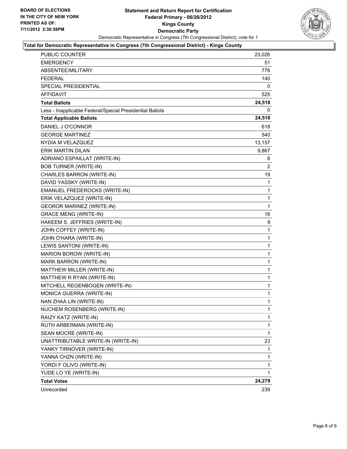

#### **Total for Democratic Representative in Congress (7th Congressional District) - Kings County**

| PUBLIC COUNTER                                           | 23,026 |
|----------------------------------------------------------|--------|
| <b>EMERGENCY</b>                                         | 51     |
| ABSENTEE/MILITARY                                        | 776    |
| <b>FEDERAL</b>                                           | 140    |
| SPECIAL PRESIDENTIAL                                     | 0      |
| <b>AFFIDAVIT</b>                                         | 525    |
| <b>Total Ballots</b>                                     | 24,518 |
| Less - Inapplicable Federal/Special Presidential Ballots | 0      |
| <b>Total Applicable Ballots</b>                          | 24,518 |
| DANIEL J O'CONNOR                                        | 618    |
| <b>GEORGE MARTINEZ</b>                                   | 540    |
| NYDIA M VELAZQUEZ                                        | 13,157 |
| <b>ERIK MARTIN DILAN</b>                                 | 9,867  |
| ADRIANO ESPAILLAT (WRITE-IN)                             | 6      |
| <b>BOB TURNER (WRITE-IN)</b>                             | 2      |
| CHARLES BARRON (WRITE-IN)                                | 19     |
| DAVID YASSKY (WRITE-IN)                                  | 1      |
| EMANUEL FREDEROCKS (WRITE-IN)                            | 1      |
| ERIK VELAZQUEZ (WRITE-IN)                                | 1      |
| <b>GEOROR MARINEZ (WRITE-IN)</b>                         | 1      |
| <b>GRACE MENG (WRITE-IN)</b>                             | 16     |
| HAKEEM S. JEFFRIES (WRITE-IN)                            | 9      |
| JOHN COFFEY (WRITE-IN)                                   | 1      |
| JOHN O'HARA (WRITE-IN)                                   | 1      |
| LEWIS SANTONI (WRITE-IN)                                 | 1      |
| MARION BOROW (WRITE-IN)                                  | 1      |
| MARK BARRON (WRITE-IN)                                   | 1      |
| MATTHEW MILLER (WRITE-IN)                                | 1      |
| MATTHEW R RYAN (WRITE-IN)                                | 1      |
| MITCHELL REGENBOGEN (WRITE-IN)                           | 1      |
| MONICA GUERRA (WRITE-IN)                                 | 1      |
| NAN ZHAA LIN (WRITE-IN)                                  | 1      |
| NUCHEM ROSENBERG (WRITE-IN)                              | 1      |
| RAIZY KATZ (WRITE-IN)                                    | 1      |
| RUTH ARBERMAN (WRITE-IN)                                 | 1      |
| SEAN MOCRE (WRITE-IN)                                    | 1      |
| UNATTRIBUTABLE WRITE-IN (WRITE-IN)                       | 23     |
| YANKY TIRNOVER (WRITE-IN)                                | 1      |
| YANNA CHZN (WRITE-IN)                                    | 1      |
| YORDI F OLIVO (WRITE-IN)                                 | 1      |
| YUDE LO YE (WRITE-IN)                                    | 1      |
| <b>Total Votes</b>                                       | 24,279 |
| Unrecorded                                               | 239    |